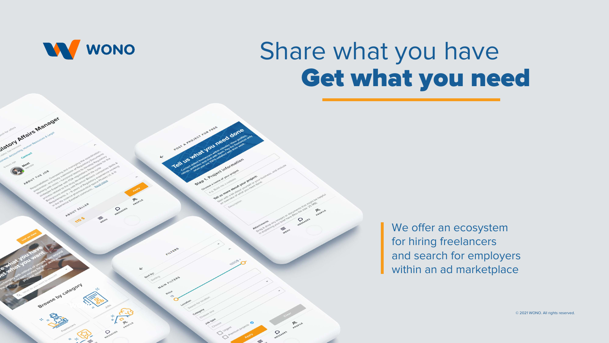We offer an ecosystem for hiring freelancers and search for employers within an ad marketplace



### Share what you have Get what you need

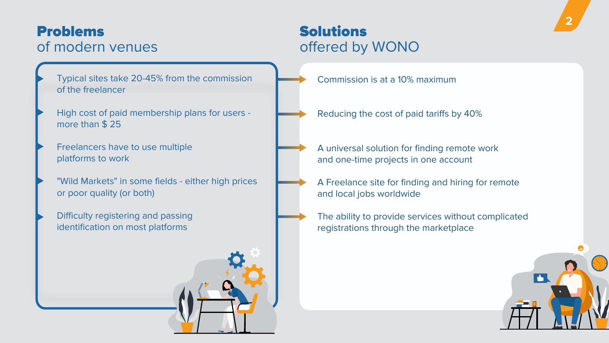

### Problems of modern venues



Solutions

# offered by WONO

Commission is at a 10% maximum

Reducing the cost of paid tariffs by 40%

A universal solution for finding remote work and one-time projects in one account

A Freelance site for finding and hiring for remote and local jobs worldwide

The ability to provide services without complicated registrations through the marketplace

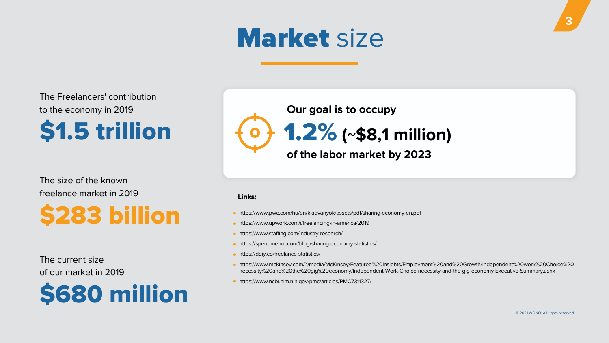

## Market size

© 2021 WONO. All rights reserved.

The Freelancers' contribution to the economy in 2019

## \$1.5 trillion

### The current size of our market in 2019



# 1.2% **(~\$8,1 million)**

### The size of the known freelance market in 2019



### **of the labor market by 2023**



#### Links:

- https://www.pwc.com/hu/en/kiadvanyok/assets/pdf/sharing-economy-en.pdf
- https://www.upwork.com/i/freelancing-in-america/2019
- https://www.staffing.com/industry-research/
- https://spendmenot.com/blog/sharing-economy-statistics/
- https://ddiy.co/freelance-statistics/
- 
- https://www.ncbi.nlm.nih.gov/pmc/articles/PMC7311327/

https://www.mckinsey.com/~/media/McKinsey/Featured%20Insights/Employment%20and%20Growth/Independent%20work%20Choice%20 necessity%20and%20the%20gig%20economy/Independent-Work-Choice-necessity-and-the-gig-economy-Executive-Summary.ashx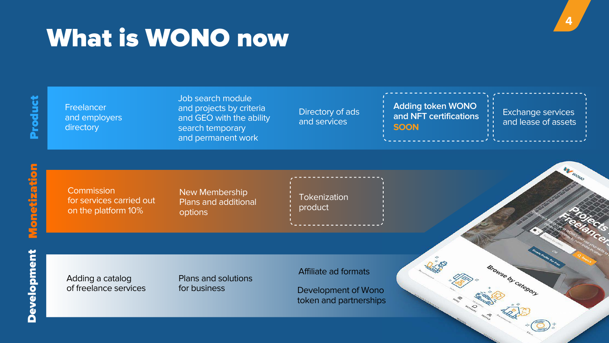

Freelancer and employers directory

Job search module and projects by criteria and GEO with the ability search temporary and permanent work

Directory of ads and services

**Commission** for services carried out on the platform 10%

Adding a catalog of freelance services **Tokenization** product

Plans and solutions for business

Affiliate ad formats





# What is WONO now

New Membership Plans and additional options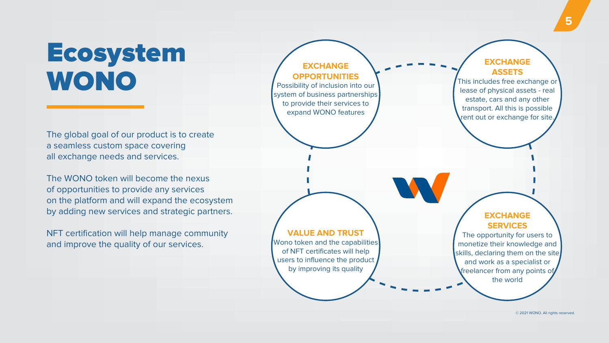### **EXCHANGE OPPORTUNITIES**

Possibility of inclusion into our system of business partnerships to provide their services to expand WONO features

Wono token and the capabilities of NFT certificates will help users to influence the product by improving its quality



#### **VALUE AND TRUST**

### Ecosystem WONO

© 2021 WONO. All rights reserved.

The global goal of our product is to create a seamless custom space covering all exchange needs and services.

The WONO token will become the nexus of opportunities to provide any services on the platform and will expand the ecosystem by adding new services and strategic partners.

NFT certification will help manage community and improve the quality of our services.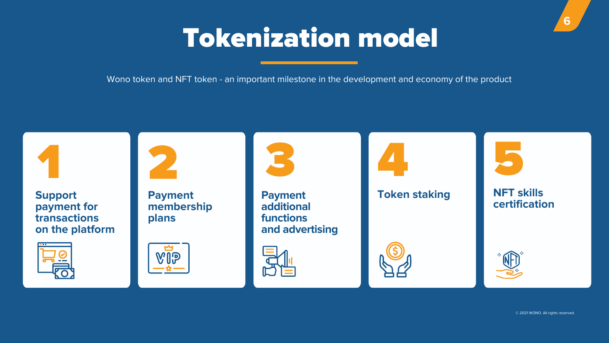



Wono token and NFT token - an important milestone in the development and economy of the product









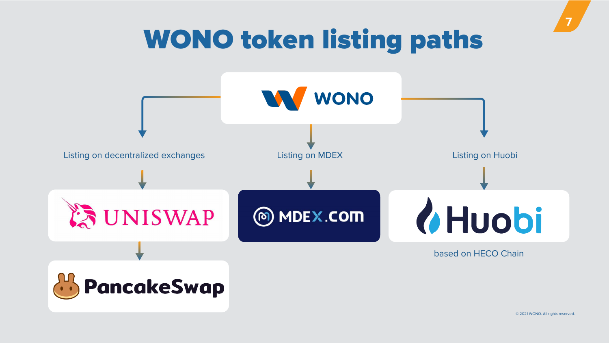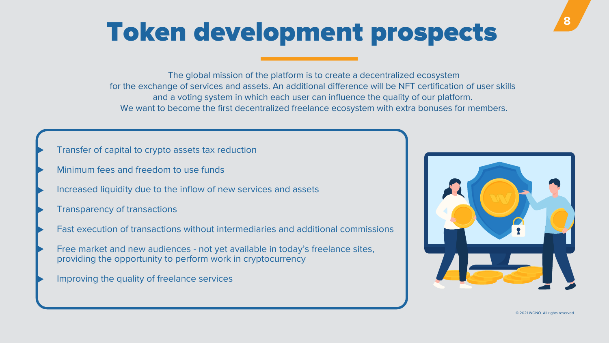# Token development prospects

**8**

The global mission of the platform is to create a decentralized ecosystem for the exchange of services and assets. An additional difference will be NFT certification of user skills and a voting system in which each user can influence the quality of our platform. We want to become the first decentralized freelance ecosystem with extra bonuses for members.

- Transfer of capital to crypto assets tax reduction
- Minimum fees and freedom to use funds
- Increased liquidity due to the inflow of new services and assets
- Transparency of transactions
- Fast execution of transactions without intermediaries and additional commissions
- Free market and new audiences not yet available in today's freelance sites, providing the opportunity to perform work in cryptocurrency
- Improving the quality of freelance services



© 2021 WONO. All rights reserved.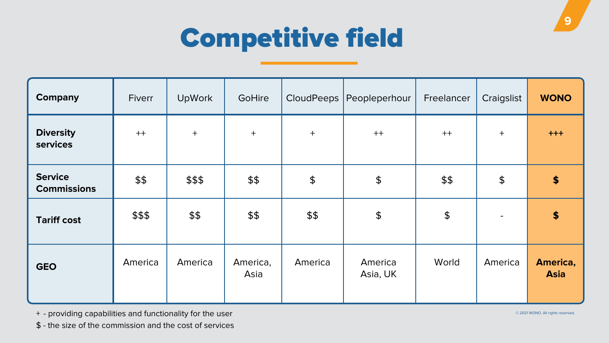



| <b>Company</b>                       | Fiverr  | <b>UpWork</b> | <b>GoHire</b>    | CloudPeeps <sup>'</sup> | Peopleperhour          | Freelancer    | Craigslist    | <b>WONO</b>             |
|--------------------------------------|---------|---------------|------------------|-------------------------|------------------------|---------------|---------------|-------------------------|
| <b>Diversity</b><br><b>services</b>  | $++$    | $+$           | $+$              | $+$                     | $++$                   | $++$          | $+$           | $+ + +$                 |
| <b>Service</b><br><b>Commissions</b> | \$\$    | \$\$\$        | \$\$             | $\boldsymbol{\varphi}$  | $\boldsymbol{\varphi}$ | \$\$          | $\frac{1}{2}$ | $\boldsymbol{\theta}$   |
| <b>Tariff cost</b>                   | \$\$\$  | \$\$          | \$\$             | \$\$                    | $\boldsymbol{\varphi}$ | $\frac{1}{2}$ |               | $\blacklozenge$         |
| <b>GEO</b>                           | America | America       | America,<br>Asia | America                 | America<br>Asia, UK    | World         | America       | America,<br><b>Asia</b> |

- + providing capabilities and functionality for the user
- \$ the size of the commission and the cost of services